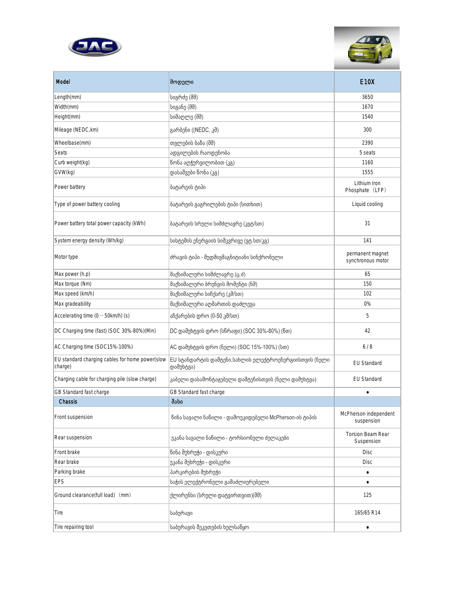



| Model                                                      | მოდელ <b>ი</b>                                                       | <b>E10X</b>                            |
|------------------------------------------------------------|----------------------------------------------------------------------|----------------------------------------|
| Length(mm)                                                 | სიგრძე (მმ)                                                          | 3650                                   |
| Width(mm)                                                  | სიგანე (მმ)                                                          | 1670                                   |
| Height(mm)                                                 | სიმაღლე (მმ)                                                         | 1540                                   |
| Mileage (NEDC, km)                                         | გარბენი ((NEDC, კმ)                                                  | 300                                    |
| Wheelbase(mm)                                              | თვლების ბაზა (მმ)                                                    | 2390                                   |
| Seats                                                      | ადგილების რაოდენობა                                                  | 5 seats                                |
| Curb weight(kg)                                            | წონა აღჭურვილობით (კგ)                                               | 1160                                   |
| GVW(kg)                                                    | დასაშვები წონა (კგ)                                                  | 1555                                   |
| Power battery                                              | ბატარეის ტიპი                                                        | Lithium Iron<br>Phosphate (LFP)        |
| Type of power battery cooling                              | ბატარეის გაგრილების ტიპი (სითხით)                                    | Liquid cooling                         |
| Power battery total power capacity (kWh)                   | ბატარეის სრული სიმძლავრე (კვტ/სთ)                                    | 31                                     |
| System energy density (Wh/kg)                              | სისტემის ენერგიის სიმკვრივე (ვტ.სთ/კგ)                               | 141                                    |
| Motor type                                                 | ძრავის ტიპი - მუდმივმაგნიტიანი სინქრონული                            | permanent magnet<br>synchronous motor  |
| Max power (h.p)                                            | მაქსიმალური სიმძლავრე (ც.ძ)                                          | 65                                     |
| Max torque (Nm)                                            | მაქსიმალური ბრუნვის მომენტი (ნმ)                                     | 150                                    |
| Max speed (km/h)                                           | მაქსიმალური სიჩქარე (კმ/სთ)                                          | 102                                    |
| Max gradeability                                           | მაქსიმალური აღმართის დაძლევა                                         | 0%                                     |
| Accelerating time $(0 - 50km/h)$ (s)                       | აჩქარების დრო (0-50 კმ/სთ)                                           | 5                                      |
| DC Charging time (fast) (SOC 30%-80%)(Min)                 | DC დამუხტვის დრო (სწრაფი) (SOC 30%-80%) (წთ)                         | 42                                     |
| AC Charging time (SOC15%-100%)                             | AC დამუხტვის დრო (ნელი) (SOC 15%-100%) (სთ)                          | 6/8                                    |
| EU standard charging cables for home power(slow<br>charge) | EU სტანდარტის დამტენი,სახლის ელექტროენერგიისთვის (ნელი<br> დამუხტვა) | <b>EU Standard</b>                     |
| Charging cable for charging pile (slow charge)             | კაბელი დასამონტაჟებელი დამტენისთვის (ნელი დამუხტვა)                  | <b>EU Standard</b>                     |
| GB Standard fast charge                                    | GB Standard fast charge                                              | ٠                                      |
| Chassis                                                    | შასი                                                                 |                                        |
| Front suspension                                           | წინა სავალი ნაწილი - დამოუკიდებელი McPherson-ის ტიპის                | McPherson independent<br>suspension    |
| Rear suspension                                            | უკანა სავალი ნაწილი - ტორსიონული ძელაკები                            | <b>Torsion Beam Rear</b><br>Suspension |
| Front brake                                                | წინა მუხრუჭი - დისკური                                               | <b>Disc</b>                            |
| Rear brake                                                 | უკანა მუხრუჭი - დისკური                                              | <b>Disc</b>                            |
| Parking brake                                              | პარკირების მუხრუჭი                                                   | ٠                                      |
| EPS                                                        | საჭის ელექტრონული გამაძლიერებელი                                     | $\bullet$                              |
| Ground clearance(full load) (mm)                           | ქლირენსი (სრული დატვირთვით)(მმ)                                      | 125                                    |
| Tire                                                       | საბურავი                                                             | 165/65 R14                             |
| Tire repairing tool                                        | საბურავის შეკეთების ხელსაწყო                                         | ٠                                      |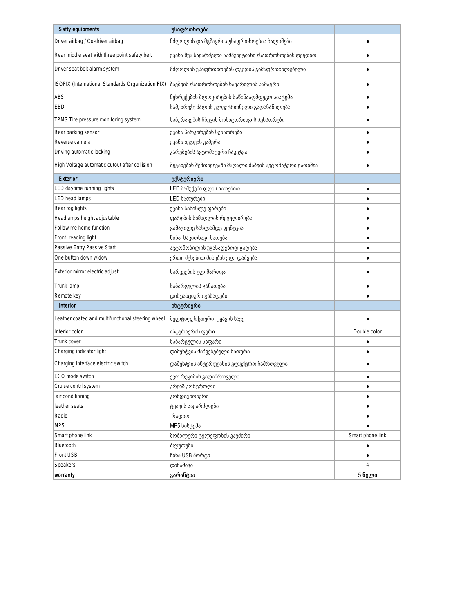| Safty equipments                                  | უსაფრთხოება                                            |                  |
|---------------------------------------------------|--------------------------------------------------------|------------------|
| Driver airbag / Co-driver airbag                  | მძღოლის და მგზავრის უსაფრთხოების ბალიშები              |                  |
| Rear middle seat with three point safety belt     | უკანა შუა სავარძელი სამპუნქტიანი უსაფრთხოების ღვედით   |                  |
| Driver seat belt alarm system                     | მძღოლის უსაფრთხოების ღვედის გამაფრთხილებელი            |                  |
| ISOFIX (International Standards Organization FIX) | ბავშვის უსაფრთხოების სავარძლის სამაგრი                 |                  |
| ABS                                               | მუხრუჭების ბლოკირების საწინააღმდეგო სისტემა            | ٠                |
| <b>EBD</b>                                        | სამუხრუჭე ძალის ელექტრონული გადანაწილება               |                  |
| TPMS Tire pressure monitoring system              | საბურავების წნევის მონიტორინგის სენსორები              |                  |
| Rear parking sensor                               | უკანა პარკირების სენსორები                             | ٠                |
| Reverse camera                                    | უკანა ხედვის კამერა                                    |                  |
| Driving automatic locking                         | კარებების ავტომატური ჩაკეტვა                           | ٠                |
| High Voltage automatic cutout after collision     | შეჯახების შემთხვევაში მაღალი ძაბვის ავტომატური გათიშვა |                  |
| Exterior                                          | ექსტერიერი                                             |                  |
| LED daytime running lights                        | LED მაშუქები დღის ნათებით                              |                  |
| LED head lamps                                    | LED ნათურები                                           |                  |
| Rear fog lights                                   | უკანა სანისლე ფარები                                   |                  |
| Headlamps height adjustable                       | ფარების სიმაღლის რეგულირება                            |                  |
| Follow me home function                           | გამაცილე სახლამდე ფუნქცია                              |                  |
| Front reading light                               | წინა საკითხავი ნათება                                  |                  |
| Passive Entry Passive Start                       | ავტომობილის უგასაღებოდ გაღება                          |                  |
| One button down widow                             | ერთი შეხებით მინების ელ. დაშვება                       |                  |
| Exterior mirror electric adjust                   | სარკეების ელ.მართვა                                    |                  |
| Trunk lamp                                        | საბარგულის განათება                                    |                  |
| Remote key                                        | დისტანციური გასაღები                                   |                  |
| Interior                                          | ინტერიერი                                              |                  |
| Leather coated and multifunctional steering wheel | მულტიფუნქციური ტყავის საჭე                             |                  |
| Interior color                                    | ინტერიერის ფერი                                        | Double color     |
| Trunk cover                                       | საბარგულის საფარი                                      |                  |
| Charging indicator light                          | დამუხტვის მაჩვენებელი ნათურა                           | ٠                |
| Charging interface electric switch                | დამუხტვის ინტერფეისის ელექტრო ჩამრთველი                |                  |
| ECO mode switch                                   | ეკო რეჟიმის გადამრთველი                                |                  |
| Cruise contrl system                              | კრუიზ კონტროლი                                         |                  |
| air conditioning                                  | კონდიციონერი                                           |                  |
| leather seats                                     | ტყავის სავარძლები                                      | ٠                |
| Radio                                             | რადიო                                                  |                  |
| MP <sub>5</sub>                                   | MP5 სისტემა                                            |                  |
| Smart phone link                                  | მობილური ტელეფონის კავშირი                             | Smart phone link |
| Bluetooth                                         | ბლუთუზი                                                | ٠                |
| Front USB                                         | წინა USB პორტი                                         |                  |
| Speakers                                          | დინამიკი                                               | 4                |
| worranty                                          | გარანტია                                               | 5 წელი           |